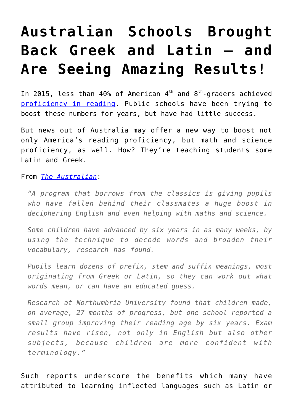# **[Australian Schools Brought](https://intellectualtakeout.org/2016/01/australian-schools-brought-back-greek-and-latin-and-are-seeing-amazing-results/) [Back Greek and Latin – and](https://intellectualtakeout.org/2016/01/australian-schools-brought-back-greek-and-latin-and-are-seeing-amazing-results/) [Are Seeing Amazing Results!](https://intellectualtakeout.org/2016/01/australian-schools-brought-back-greek-and-latin-and-are-seeing-amazing-results/)**

In 2015, less than 40% of American  $4<sup>th</sup>$  and  $8<sup>th</sup>$ -graders achieved [proficiency in reading.](http://www.nationsreportcard.gov/dashboards/report_card.aspx) Public schools have been trying to boost these numbers for years, but have had little success.

But news out of Australia may offer a new way to boost not only America's reading proficiency, but math and science proficiency, as well. How? They're teaching students some Latin and Greek.

#### From *[The Australian](http://www.theaustralian.com.au/news/world/the-times/greek-and-latin-lessons-boost-reading-and-maths-skills/news-story/6c7276e437443f894c16148c53dc3e2e)*:

*"A program that borrows from the classics is giving pupils who have fallen behind their classmates a huge boost in deciphering English and even helping with maths and science.*

*Some children have advanced by six years in as many weeks, by using the technique to decode words and broaden their vocabulary, research has found.*

*Pupils learn dozens of prefix, stem and suffix meanings, most originating from Greek or Latin, so they can work out what words mean, or can have an educated guess.*

*Research at Northumbria University found that children made, on average, 27 months of progress, but one school reported a small group improving their reading age by six years. Exam results have risen, not only in English but also other subjects, because children are more confident with terminology."*

Such reports underscore the benefits which many have attributed to learning inflected languages such as Latin or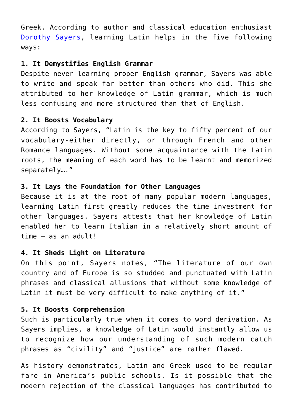Greek. According to author and classical education enthusiast [Dorothy Sayers](http://www.memoriapress.com/articles/greatest-single-defect-my-own-latin-education), learning Latin helps in the five following ways:

#### **1. It Demystifies English Grammar**

Despite never learning proper English grammar, Sayers was able to write and speak far better than others who did. This she attributed to her knowledge of Latin grammar, which is much less confusing and more structured than that of English.

## **2. It Boosts Vocabulary**

According to Sayers, "Latin is the key to fifty percent of our vocabulary-either directly, or through French and other Romance languages. Without some acquaintance with the Latin roots, the meaning of each word has to be learnt and memorized separately…."

## **3. It Lays the Foundation for Other Languages**

Because it is at the root of many popular modern languages, learning Latin first greatly reduces the time investment for other languages. Sayers attests that her knowledge of Latin enabled her to learn Italian in a relatively short amount of time – as an adult!

## **4. It Sheds Light on Literature**

On this point, Sayers notes, "The literature of our own country and of Europe is so studded and punctuated with Latin phrases and classical allusions that without some knowledge of Latin it must be very difficult to make anything of it."

## **5. It Boosts Comprehension**

Such is particularly true when it comes to word derivation. As Sayers implies, a knowledge of Latin would instantly allow us to recognize how our understanding of such modern catch phrases as "civility" and "justice" are rather flawed.

As history demonstrates, Latin and Greek used to be regular fare in America's public schools. Is it possible that the modern rejection of the classical languages has contributed to